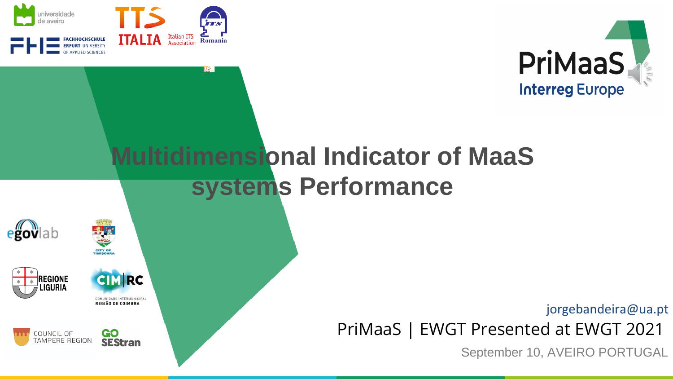

 $\prod_{\text{ITALIA}}$ 



# **Multidimensional Indicator of MaaS systems Performance**





**CIM RC** 

COMUNIDADE INTERMUNICIPAL REGIÃO DE COIMBRA





**GO<br>SEStran** COUNCIL OF TAMPERE REGION

jorgebandeira@ua.pt

PriMaaS | EWGT Presented at EWGT 2021

September 10, AVEIRO PORTUGAL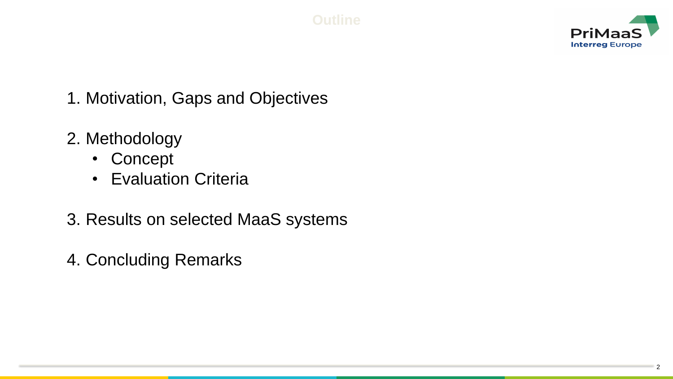

- 1. Motivation, Gaps and Objectives
- 2. Methodology
	- Concept
	- Evaluation Criteria
- 3. Results on selected MaaS systems
- 4. Concluding Remarks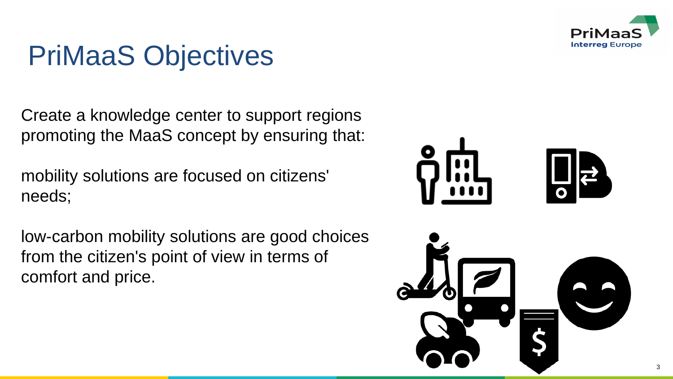

# PriMaaS Objectives

Create a knowledge center to support regions promoting the MaaS concept by ensuring that:

mobility solutions are focused on citizens' needs;

low-carbon mobility solutions are good choices from the citizen's point of view in terms of comfort and price.

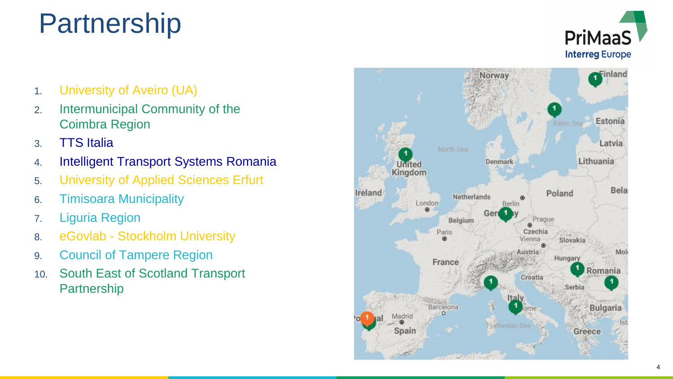# Partnership



- 1. University of Aveiro (UA)
- 2. Intermunicipal Community of the Coimbra Region
- 3. TTS Italia
- 4. Intelligent Transport Systems Romania
- 5. University of Applied Sciences Erfurt
- 6. Timisoara Municipality
- 7. Liguria Region
- 8. eGovlab Stockholm University
- 9. Council of Tampere Region
- 10. South East of Scotland Transport Partnership

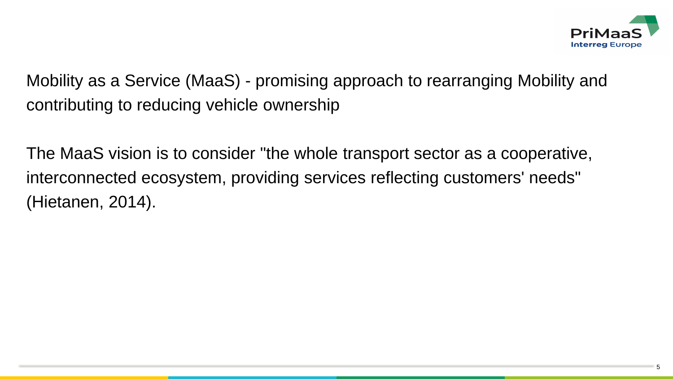

Mobility as a Service (MaaS) - promising approach to rearranging Mobility and contributing to reducing vehicle ownership

The MaaS vision is to consider "the whole transport sector as a cooperative, interconnected ecosystem, providing services reflecting customers' needs" (Hietanen, 2014).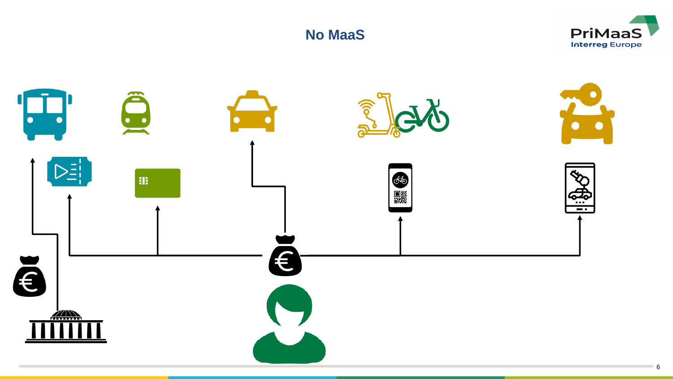



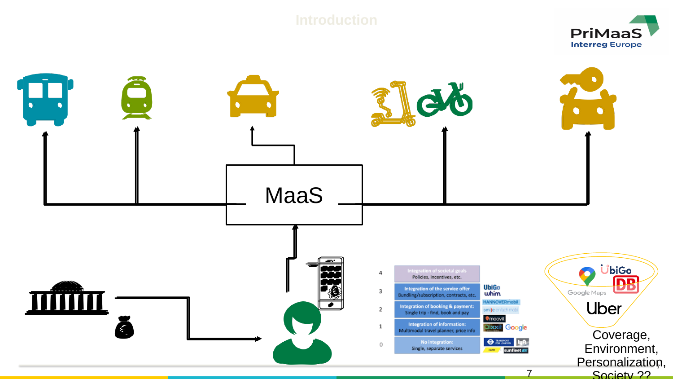#### **Introduction**



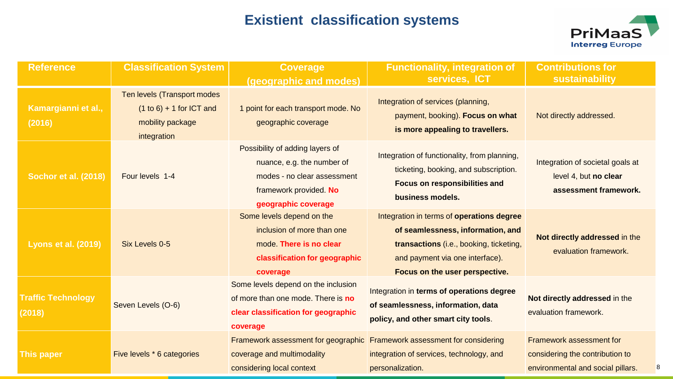#### **Existient classification systems**



| <b>Reference</b>                    | <b>Classification System</b>                                                                 | <b>Coverage</b><br>(geographic and modes)                                                                                                                                                                                                                                                                                         | <b>Functionality, integration of</b><br>services, ICT                                                                                             | <b>Contributions for</b><br>sustainability                                                       |  |
|-------------------------------------|----------------------------------------------------------------------------------------------|-----------------------------------------------------------------------------------------------------------------------------------------------------------------------------------------------------------------------------------------------------------------------------------------------------------------------------------|---------------------------------------------------------------------------------------------------------------------------------------------------|--------------------------------------------------------------------------------------------------|--|
| Kamargianni et al.,<br>(2016)       | Ten levels (Transport modes<br>$(1 to 6) + 1$ for ICT and<br>mobility package<br>integration | 1 point for each transport mode. No<br>geographic coverage                                                                                                                                                                                                                                                                        | Integration of services (planning,<br>payment, booking). Focus on what<br>is more appealing to travellers.                                        | Not directly addressed.                                                                          |  |
| Sochor et al. (2018)                | Four levels 1-4                                                                              | Possibility of adding layers of<br>nuance, e.g. the number of<br>modes - no clear assessment<br>framework provided. No<br>geographic coverage                                                                                                                                                                                     | Integration of functionality, from planning,<br>ticketing, booking, and subscription.<br><b>Focus on responsibilities and</b><br>business models. | Integration of societal goals at<br>level 4, but no clear<br>assessment framework.               |  |
| <b>Lyons et al. (2019)</b>          | Six Levels 0-5                                                                               | Some levels depend on the<br>Integration in terms of operations degree<br>inclusion of more than one<br>of seamlessness, information, and<br>mode. There is no clear<br>transactions (i.e., booking, ticketing,<br>classification for geographic<br>and payment via one interface).<br>Focus on the user perspective.<br>coverage |                                                                                                                                                   | Not directly addressed in the<br>evaluation framework.                                           |  |
| <b>Traffic Technology</b><br>(2018) | Seven Levels (O-6)                                                                           | Some levels depend on the inclusion<br>of more than one mode. There is no<br>clear classification for geographic<br>coverage                                                                                                                                                                                                      | Integration in terms of operations degree<br>of seamlessness, information, data<br>policy, and other smart city tools.                            | Not directly addressed in the<br>evaluation framework.                                           |  |
| <b>This paper</b>                   | Five levels * 6 categories                                                                   | Framework assessment for geographic<br>coverage and multimodality<br>considering local context                                                                                                                                                                                                                                    | Framework assessment for considering<br>integration of services, technology, and<br>personalization.                                              | Framework assessment for<br>considering the contribution to<br>environmental and social pillars. |  |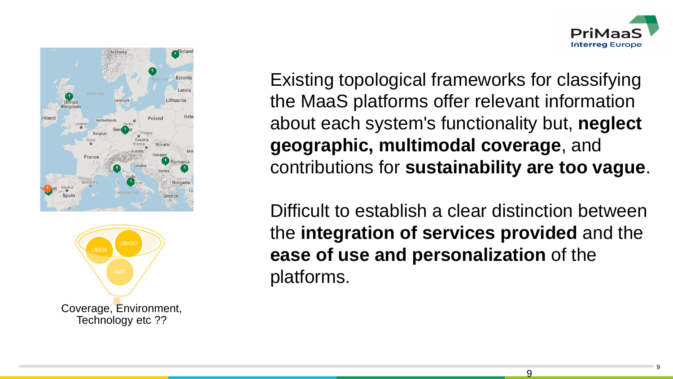





Existing topological frameworks for classifying the MaaS platforms offer relevant information about each system's functionality but, **neglect geographic, multimodal coverage**, and contributions for **sustainability are too vague**.

Difficult to establish a clear distinction between the **integration of services provided** and the **ease of use and personalization** of the platforms.

 $\mathsf{Q}$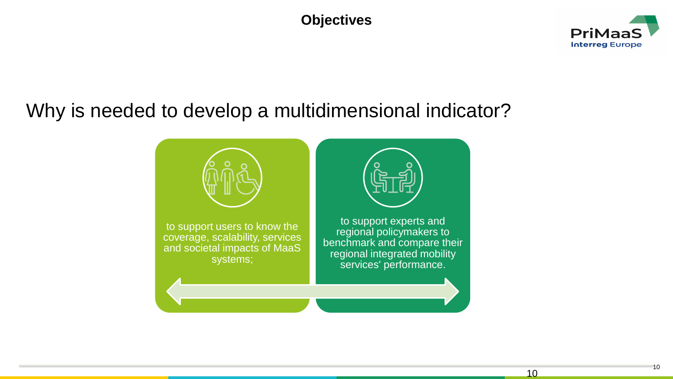#### **Objectives**



## Why is needed to develop a multidimensional indicator?

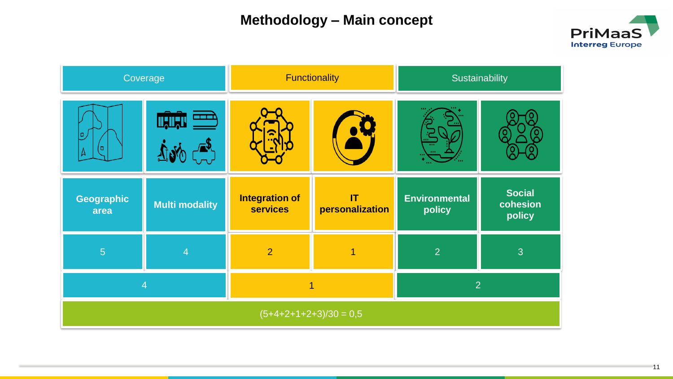#### **Methodology – Main concept**



| Coverage                 |                       |                                          | <b>Functionality</b>  | Sustainability                 |                                     |  |
|--------------------------|-----------------------|------------------------------------------|-----------------------|--------------------------------|-------------------------------------|--|
| o<br>0                   |                       |                                          |                       |                                |                                     |  |
| Geographic<br>area       | <b>Multi modality</b> | <b>Integration of</b><br><b>services</b> | IT<br>personalization | <b>Environmental</b><br>policy | <b>Social</b><br>cohesion<br>policy |  |
| $\overline{5}$           | 4                     | $\overline{2}$                           |                       | $\overline{2}$                 | 3                                   |  |
|                          | $\overline{4}$        | $\overline{2}$                           |                       |                                |                                     |  |
| $(5+4+2+1+2+3)/30 = 0,5$ |                       |                                          |                       |                                |                                     |  |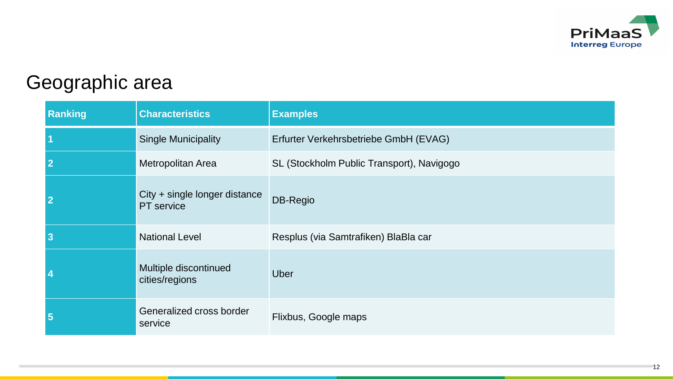

## Geographic area

| Ranking                 | <b>Characteristics</b>                      | <b>Examples</b>                           |  |  |  |  |
|-------------------------|---------------------------------------------|-------------------------------------------|--|--|--|--|
| $\overline{\mathbf{1}}$ | <b>Single Municipality</b>                  | Erfurter Verkehrsbetriebe GmbH (EVAG)     |  |  |  |  |
| $\overline{2}$          | Metropolitan Area                           | SL (Stockholm Public Transport), Navigogo |  |  |  |  |
| $\overline{2}$          | City + single longer distance<br>PT service | DB-Regio                                  |  |  |  |  |
| $\overline{\mathbf{3}}$ | <b>National Level</b>                       | Resplus (via Samtrafiken) BlaBla car      |  |  |  |  |
| $\boldsymbol{4}$        | Multiple discontinued<br>cities/regions     | <b>Uber</b>                               |  |  |  |  |
| $\sqrt{5}$              | Generalized cross border<br>service         | Flixbus, Google maps                      |  |  |  |  |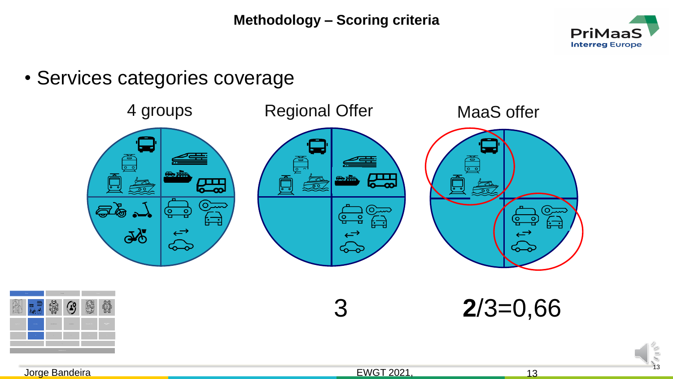

13

• Services categories coverage

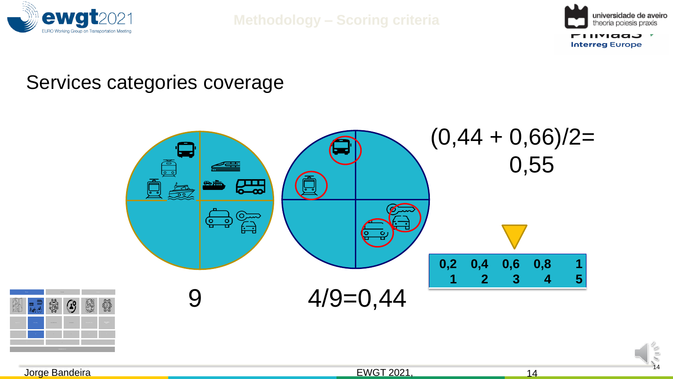

**Methodology – Scoring criteria**



14

### Services categories coverage

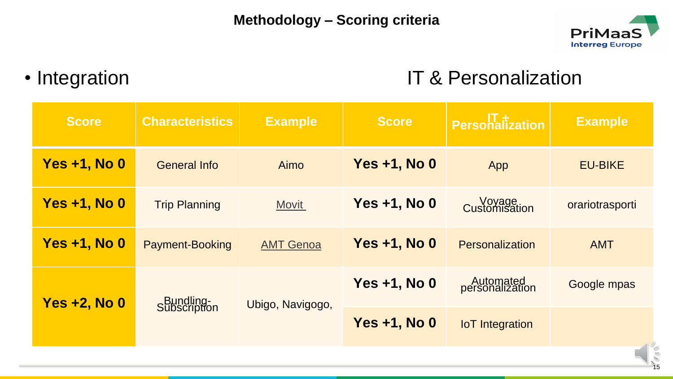

## • Integration IT & Personalization

| <b>Score</b>        | <b>Characteristics</b>    | <b>Example</b>   | Score               | <b>Personalization</b>       | <b>Example</b>           |  |
|---------------------|---------------------------|------------------|---------------------|------------------------------|--------------------------|--|
| <b>Yes +1, No 0</b> | <b>General Info</b>       | Aimo             | <b>Yes +1, No 0</b> | App                          | <b>EU-BIKE</b>           |  |
| <b>Yes +1, No 0</b> | <b>Trip Planning</b>      | <b>Movit</b>     | <b>Yes +1, No 0</b> | <b>Customisation</b>         | orariotrasporti          |  |
| <b>Yes +1, No 0</b> | <b>Payment-Booking</b>    | <b>AMT Genoa</b> | <b>Yes +1, No 0</b> | <b>Personalization</b>       | <b>AMT</b>               |  |
| <b>Yes +2, No 0</b> | Bundling-<br>Subscription | Ubigo, Navigogo, | <b>Yes +1, No 0</b> | Automated<br>personalization | Google mpas              |  |
|                     |                           |                  | <b>Yes +1, No 0</b> | <b>IoT</b> Integration       | $\overline{\phantom{a}}$ |  |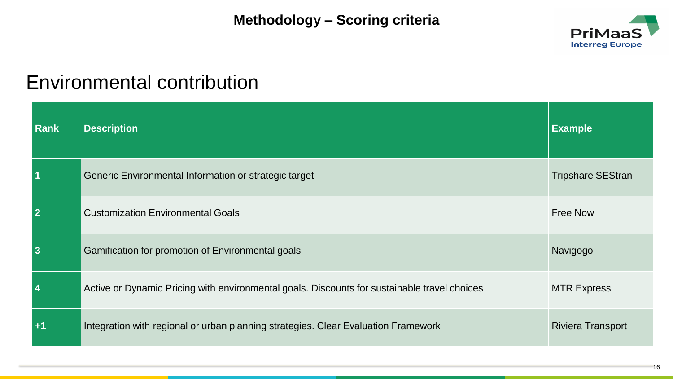#### **Methodology – Scoring criteria**



## Environmental contribution

| Rank                    | <b>Description</b>                                                                           | <b>Example</b>           |
|-------------------------|----------------------------------------------------------------------------------------------|--------------------------|
| $\overline{\mathbf{1}}$ | Generic Environmental Information or strategic target                                        | <b>Tripshare SEStran</b> |
| $\overline{\mathbf{2}}$ | <b>Customization Environmental Goals</b>                                                     | <b>Free Now</b>          |
| $\vert 3$               | Gamification for promotion of Environmental goals                                            | Navigogo                 |
| $\vert$ 4               | Active or Dynamic Pricing with environmental goals. Discounts for sustainable travel choices | <b>MTR Express</b>       |
| $\overline{+1}$         | Integration with regional or urban planning strategies. Clear Evaluation Framework           | <b>Riviera Transport</b> |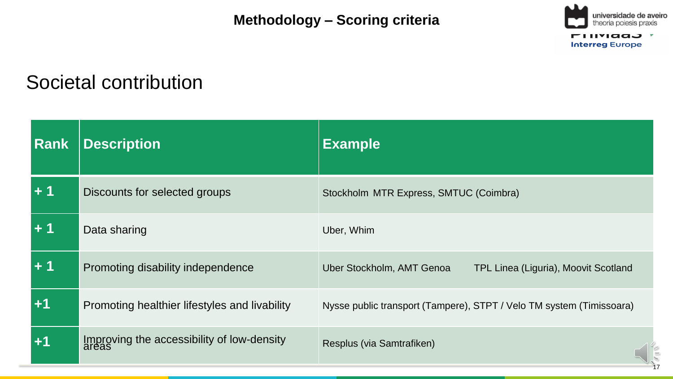**Methodology – Scoring criteria**



## Societal contribution

 $\overline{\phantom{a}}$ 

| <b>Rank</b> | <b>Description</b>                            | <b>Example</b>                                                       |
|-------------|-----------------------------------------------|----------------------------------------------------------------------|
| $+1$        | Discounts for selected groups                 | Stockholm MTR Express, SMTUC (Coimbra)                               |
| ∣+ 1        | Data sharing                                  | Uber, Whim                                                           |
| l + 1       | Promoting disability independence             | Uber Stockholm, AMT Genoa<br>TPL Linea (Liguria), Moovit Scotland    |
| $+1$        | Promoting healthier lifestyles and livability | Nysse public transport (Tampere), STPT / Velo TM system (Timissoara) |
| $+1$        | Improving the accessibility of low-density    | Resplus (via Samtrafiken)                                            |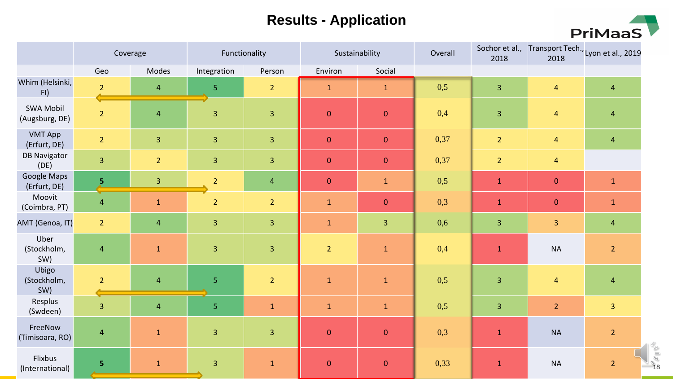#### **Results - Application**



|                                    | Coverage                |                         | Functionality           |                         | Sustainability |                         | Overall | 2018                    | 2018                    | Sochor et al., Transport Tech., Lyon et al., 2019 |
|------------------------------------|-------------------------|-------------------------|-------------------------|-------------------------|----------------|-------------------------|---------|-------------------------|-------------------------|---------------------------------------------------|
|                                    | Geo                     | Modes                   | Integration             | Person                  | Environ        | Social                  |         |                         |                         |                                                   |
| Whim (Helsinki,<br>FI)             | $\overline{2}$          | $\overline{4}$          | 5 <sub>1</sub>          | $\overline{2}$          | $\mathbf{1}$   | $\mathbf{1}$            | 0,5     | $\overline{3}$          | $\overline{4}$          | $\overline{4}$                                    |
| <b>SWA Mobil</b><br>(Augsburg, DE) | $\overline{2}$          | $\overline{\mathbf{4}}$ | $\overline{\mathbf{3}}$ | $\overline{\mathbf{3}}$ | $\theta$       | $\pmb{0}$               | 0,4     | $\overline{\mathbf{3}}$ | $\overline{4}$          | $\overline{4}$                                    |
| <b>VMT App</b><br>(Erfurt, DE)     | 2 <sup>1</sup>          | $\overline{3}$          | $\overline{3}$          | $\overline{\mathbf{3}}$ | $\mathbf{0}$   | $\pmb{0}$               | 0,37    | $\overline{2}$          | $\overline{4}$          | $\overline{4}$                                    |
| <b>DB Navigator</b><br>(DE)        | $\overline{3}$          | $\overline{2}$          | $\overline{3}$          | $\overline{3}$          | $\mathbf{0}$   | $\mathbf 0$             | 0,37    | $\overline{2}$          | $\overline{4}$          |                                                   |
| Google Maps<br>(Erfurt, DE)        | $\overline{\mathbf{5}}$ | $\overline{3}$          | $\overline{2}$          | $\overline{4}$          | $\mathbf{0}$   | $\mathbf{1}$            | 0,5     | $\mathbf 1$             | $\mathbf 0$             | $\mathbf{1}$                                      |
| Moovit<br>(Coimbra, PT)            | $\overline{4}$          | $\mathbf 1$             | $\overline{2}$          | $\overline{2}$          | $\mathbf 1$    | $\pmb{0}$               | 0,3     | $\mathbf{1}$            | $\pmb{0}$               | $\mathbf{1}$                                      |
| AMT (Genoa, IT)                    | $\overline{2}$          | $\overline{4}$          | $\overline{3}$          | $\overline{3}$          | $\mathbf{1}$   | $\overline{\mathbf{3}}$ | 0,6     | $\overline{3}$          | $\overline{\mathbf{3}}$ | $\overline{4}$                                    |
| Uber<br>(Stockholm,<br>SW)         | $\overline{4}$          | $\mathbf 1$             | $\overline{3}$          | $\overline{\mathbf{3}}$ | $\overline{2}$ | $\mathbf 1$             | 0,4     | $\mathbf 1$             | <b>NA</b>               | $\overline{2}$                                    |
| Ubigo<br>(Stockholm,<br>SW)        | $\overline{2}$          | $\overline{4}$          | $\overline{5}$          | $\overline{2}$          | $\mathbf{1}$   | $\mathbf 1$             | 0,5     | $\overline{3}$          | $\overline{4}$          | $\overline{4}$                                    |
| Resplus<br>(Swdeen)                | $\overline{3}$          | $\overline{4}$          | $\overline{5}$          | $\mathbf{1}$            | $\mathbf{1}$   | $\mathbf{1}$            | 0,5     | $\overline{3}$          | $\overline{2}$          | $\overline{3}$                                    |
| FreeNow<br>(Timisoara, RO)         | $\overline{4}$          | $\mathbf{1}$            | $\overline{3}$          | $\overline{3}$          | $\mathbf{0}$   | $\pmb{0}$               | 0,3     | $\mathbf 1$             | <b>NA</b>               | $\overline{2}$                                    |
| Flixbus<br>(International)         | 5                       | $1\,$                   | $\overline{3}$          | $\mathbf{1}$            | $\mathbf{0}$   | $\pmb{0}$               | 0,33    | $\mathbf 1$             | <b>NA</b>               | $\overline{2}$                                    |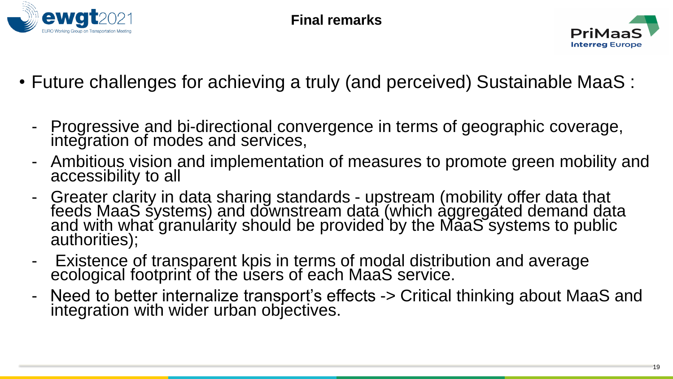



- Future challenges for achieving a truly (and perceived) Sustainable MaaS :
	- Progressive and bi-directional convergence in terms of geographic coverage, integration of modes and services,
	- Ambitious vision and implementation of measures to promote green mobility and accessibility to all
	- Greater clarity in data sharing standards upstream (mobility offer data that feeds MaaS systems) and downstream data (which aggregated demand data and with what granularity should be provided by the MaaS systems to public authorities);
	- Existence of transparent kpis in terms of modal distribution and average ecological footprint of the users of each MaaS service.
	- Need to better internalize transport's effects -> Critical thinking about MaaS and integration with wider urban objectives.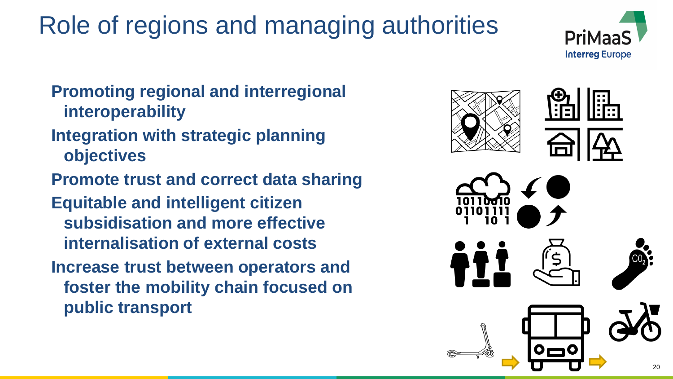# Role of regions and managing authorities



- **Integration with strategic planning objectives**
- **Promote trust and correct data sharing**
- **Equitable and intelligent citizen subsidisation and more effective internalisation of external costs**
- **Increase trust between operators and foster the mobility chain focused on public transport**



PriMa

**Interreg Europe**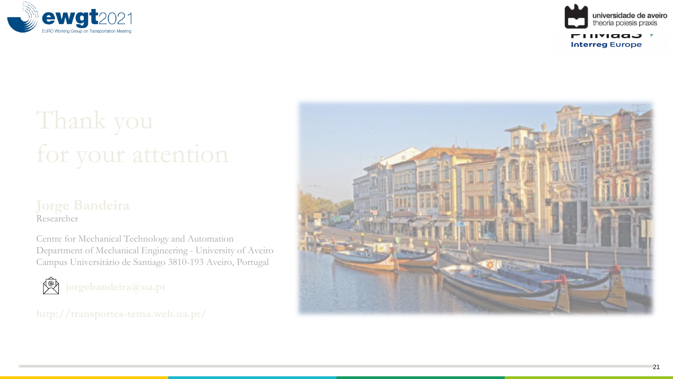



# Thank you for your attention

#### **Jorge Bandeira** Researcher

Centre for Mechanical Technology and Automation Department of Mechanical Engineering - University of Aveiro Campus Universitário de Santiago 3810 -193 Aveiro, Portugal